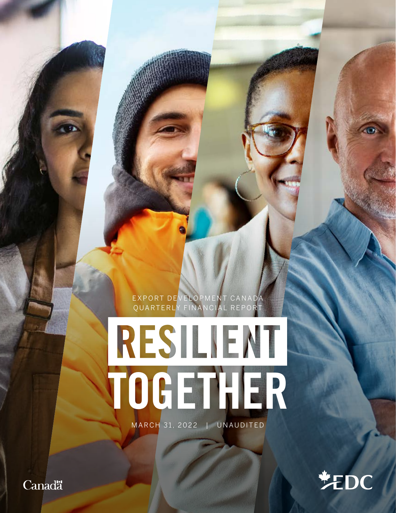EXPORT DEVELOPMENT CANADA QUARTERLY FINANCIAL REPORT

# RESILIENT TOGETHER

MARCH 31, 2022 | UNAUDITED

**美EDC** 

**Canadä**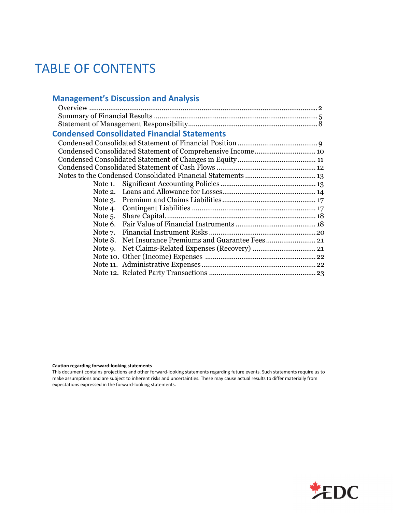## TABLE OF CONTENTS

#### **Management's Discussion and Analysis**

# **Condensed Consolidated Financial Statements**

| Note 5. |  |
|---------|--|
|         |  |
|         |  |
|         |  |
|         |  |
|         |  |
|         |  |
|         |  |
|         |  |

**Caution regarding forward‐looking statements**

This document contains projections and other forward‐looking statements regarding future events. Such statements require us to make assumptions and are subject to inherent risks and uncertainties. These may cause actual results to differ materially from expectations expressed in the forward‐looking statements.

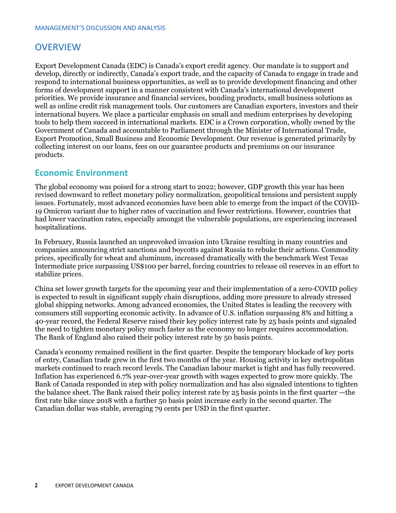## **OVERVIEW**

Export Development Canada (EDC) is Canada's export credit agency. Our mandate is to support and develop, directly or indirectly, Canada's export trade, and the capacity of Canada to engage in trade and respond to international business opportunities, as well as to provide development financing and other forms of development support in a manner consistent with Canada's international development priorities. We provide insurance and financial services, bonding products, small business solutions as well as online credit risk management tools. Our customers are Canadian exporters, investors and their international buyers. We place a particular emphasis on small and medium enterprises by developing tools to help them succeed in international markets. EDC is a Crown corporation, wholly owned by the Government of Canada and accountable to Parliament through the Minister of International Trade, Export Promotion, Small Business and Economic Development. Our revenue is generated primarily by collecting interest on our loans, fees on our guarantee products and premiums on our insurance products.

#### **Economic Environment**

The global economy was poised for a strong start to 2022; however, GDP growth this year has been revised downward to reflect monetary policy normalization, geopolitical tensions and persistent supply issues. Fortunately, most advanced economies have been able to emerge from the impact of the COVID-19 Omicron variant due to higher rates of vaccination and fewer restrictions. However, countries that had lower vaccination rates, especially amongst the vulnerable populations, are experiencing increased hospitalizations.

In February, Russia launched an unprovoked invasion into Ukraine resulting in many countries and companies announcing strict sanctions and boycotts against Russia to rebuke their actions. Commodity prices, specifically for wheat and aluminum, increased dramatically with the benchmark West Texas Intermediate price surpassing US\$100 per barrel, forcing countries to release oil reserves in an effort to stabilize prices.

China set lower growth targets for the upcoming year and their implementation of a zero-COVID policy is expected to result in significant supply chain disruptions, adding more pressure to already stressed global shipping networks. Among advanced economies, the United States is leading the recovery with consumers still supporting economic activity. In advance of U.S. inflation surpassing 8% and hitting a 40-year record, the Federal Reserve raised their key policy interest rate by 25 basis points and signaled the need to tighten monetary policy much faster as the economy no longer requires accommodation. The Bank of England also raised their policy interest rate by 50 basis points.

Canada's economy remained resilient in the first quarter. Despite the temporary blockade of key ports of entry, Canadian trade grew in the first two months of the year. Housing activity in key metropolitan markets continued to reach record levels. The Canadian labour market is tight and has fully recovered. Inflation has experienced 6.7% year-over-year growth with wages expected to grow more quickly. The Bank of Canada responded in step with policy normalization and has also signaled intentions to tighten the balance sheet. The Bank raised their policy interest rate by 25 basis points in the first quarter —the first rate hike since 2018 with a further 50 basis point increase early in the second quarter. The Canadian dollar was stable, averaging 79 cents per USD in the first quarter.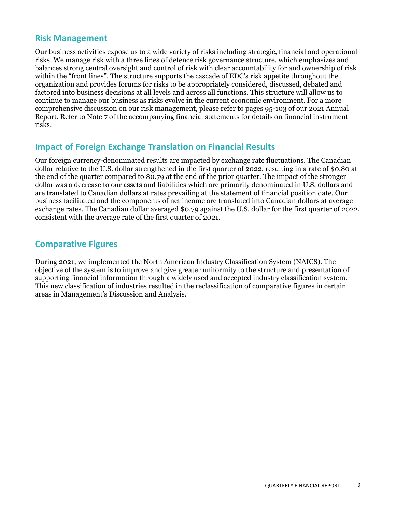### **Risk Management**

Our business activities expose us to a wide variety of risks including strategic, financial and operational risks. We manage risk with a three lines of defence risk governance structure, which emphasizes and balances strong central oversight and control of risk with clear accountability for and ownership of risk within the "front lines". The structure supports the cascade of EDC's risk appetite throughout the organization and provides forums for risks to be appropriately considered, discussed, debated and factored into business decisions at all levels and across all functions. This structure will allow us to continue to manage our business as risks evolve in the current economic environment. For a more comprehensive discussion on our risk management, please refer to pages 95-103 of our 2021 Annual Report. Refer to Note 7 of the accompanying financial statements for details on financial instrument risks.

## **Impact of Foreign Exchange Translation on Financial Results**

Our foreign currency-denominated results are impacted by exchange rate fluctuations. The Canadian dollar relative to the U.S. dollar strengthened in the first quarter of 2022, resulting in a rate of \$0.80 at the end of the quarter compared to \$0.79 at the end of the prior quarter. The impact of the stronger dollar was a decrease to our assets and liabilities which are primarily denominated in U.S. dollars and are translated to Canadian dollars at rates prevailing at the statement of financial position date. Our business facilitated and the components of net income are translated into Canadian dollars at average exchange rates. The Canadian dollar averaged \$0.79 against the U.S. dollar for the first quarter of 2022, consistent with the average rate of the first quarter of 2021.

## **Comparative Figures**

During 2021, we implemented the North American Industry Classification System (NAICS). The objective of the system is to improve and give greater uniformity to the structure and presentation of supporting financial information through a widely used and accepted industry classification system. This new classification of industries resulted in the reclassification of comparative figures in certain areas in Management's Discussion and Analysis.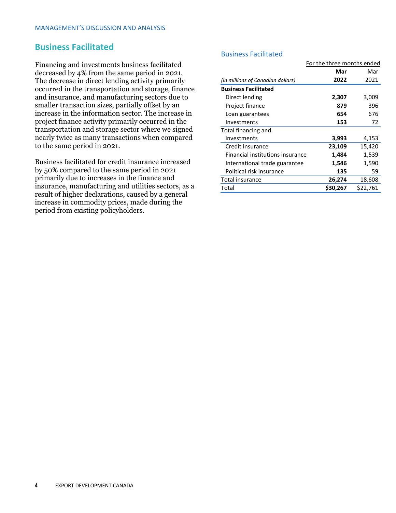#### **Business Facilitated**

Financing and investments business facilitated decreased by 4% from the same period in 2021. The decrease in direct lending activity primarily occurred in the transportation and storage, finance and insurance, and manufacturing sectors due to smaller transaction sizes, partially offset by an increase in the information sector. The increase in project finance activity primarily occurred in the transportation and storage sector where we signed nearly twice as many transactions when compared to the same period in 2021.

Business facilitated for credit insurance increased by 50% compared to the same period in 2021 primarily due to increases in the finance and insurance, manufacturing and utilities sectors, as a result of higher declarations, caused by a general increase in commodity prices, made during the period from existing policyholders.

#### Business Facilitated

|                                   | For the three months ended |          |  |
|-----------------------------------|----------------------------|----------|--|
|                                   | Mar                        | Mar      |  |
| (in millions of Canadian dollars) | 2022                       | 2021     |  |
| <b>Business Facilitated</b>       |                            |          |  |
| Direct lending                    | 2,307                      | 3,009    |  |
| Project finance                   | 879                        | 396      |  |
| Loan guarantees                   | 654                        | 676      |  |
| Investments                       | 153                        | 72       |  |
| Total financing and               |                            |          |  |
| investments                       | 3,993                      | 4,153    |  |
| Credit insurance                  | 23,109                     | 15,420   |  |
| Financial institutions insurance  | 1,484                      | 1,539    |  |
| International trade guarantee     | 1,546                      | 1,590    |  |
| Political risk insurance          | 135                        | 59       |  |
| Total insurance                   | 26,274                     | 18,608   |  |
| Total                             | \$30,267                   | \$22,761 |  |
|                                   |                            |          |  |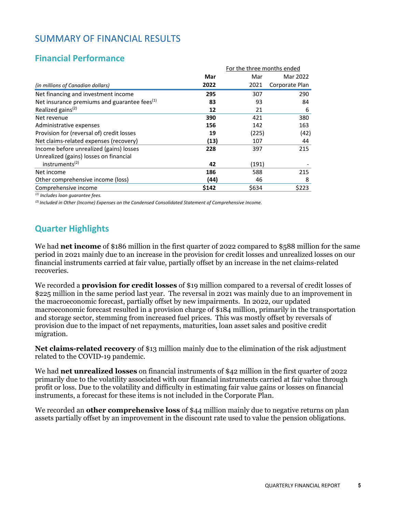## SUMMARY OF FINANCIAL RESULTS

## **Financial Performance**

|                                                          |       | For the three months ended |                |  |
|----------------------------------------------------------|-------|----------------------------|----------------|--|
|                                                          | Mar   | Mar                        | Mar 2022       |  |
| (in millions of Canadian dollars)                        | 2022  | 2021                       | Corporate Plan |  |
| Net financing and investment income                      | 295   | 307                        | 290            |  |
| Net insurance premiums and guarantee fees <sup>(1)</sup> | 83    | 93                         | 84             |  |
| Realized gains <sup>(2)</sup>                            | 12    | 21                         | 6              |  |
| Net revenue                                              | 390   | 421                        | 380            |  |
| Administrative expenses                                  | 156   | 142                        | 163            |  |
| Provision for (reversal of) credit losses                | 19    | (225)                      | (42)           |  |
| Net claims-related expenses (recovery)                   | (13)  | 107                        | 44             |  |
| Income before unrealized (gains) losses                  | 228   | 397                        | 215            |  |
| Unrealized (gains) losses on financial                   |       |                            |                |  |
| instruments <sup>(2)</sup>                               | 42    | (191)                      |                |  |
| Net income                                               | 186   | 588                        | 215            |  |
| Other comprehensive income (loss)                        | (44)  | 46                         | 8              |  |
| Comprehensive income                                     | \$142 | \$634                      | \$223          |  |
|                                                          |       |                            |                |  |

*(1) Includes loan guarantee fees.*

*(2) Included in Other (Income) Expenses on the Condensed Consolidated Statement of Comprehensive Income.*

## **Quarter Highlights**

We had **net income** of \$186 million in the first quarter of 2022 compared to \$588 million for the same period in 2021 mainly due to an increase in the provision for credit losses and unrealized losses on our financial instruments carried at fair value, partially offset by an increase in the net claims-related recoveries.

We recorded a **provision for credit losses** of \$19 million compared to a reversal of credit losses of \$225 million in the same period last year. The reversal in 2021 was mainly due to an improvement in the macroeconomic forecast, partially offset by new impairments. In 2022, our updated macroeconomic forecast resulted in a provision charge of \$184 million, primarily in the transportation and storage sector, stemming from increased fuel prices. This was mostly offset by reversals of provision due to the impact of net repayments, maturities, loan asset sales and positive credit migration.

**Net claims-related recovery** of \$13 million mainly due to the elimination of the risk adjustment related to the COVID-19 pandemic.

We had **net unrealized losses** on financial instruments of \$42 million in the first quarter of 2022 primarily due to the volatility associated with our financial instruments carried at fair value through profit or loss. Due to the volatility and difficulty in estimating fair value gains or losses on financial instruments, a forecast for these items is not included in the Corporate Plan.

We recorded an **other comprehensive loss** of \$44 million mainly due to negative returns on plan assets partially offset by an improvement in the discount rate used to value the pension obligations.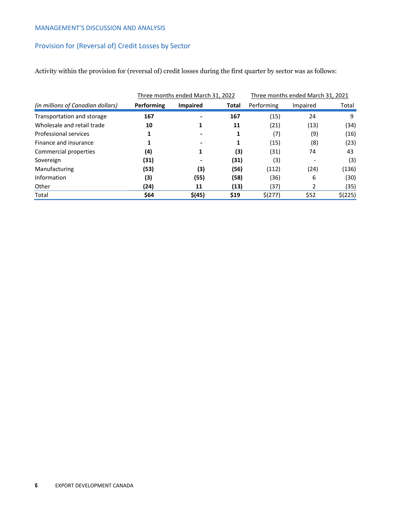#### MANAGEMENT'S DISCUSSION AND ANALYSIS

#### Provision for (Reversal of) Credit Losses by Sector

Activity within the provision for (reversal of) credit losses during the first quarter by sector was as follows:

|                                   |            | Three months ended March 31, 2022 |       |            | Three months ended March 31, 2021 |         |
|-----------------------------------|------------|-----------------------------------|-------|------------|-----------------------------------|---------|
| (in millions of Canadian dollars) | Performing | <b>Impaired</b>                   | Total | Performing | Impaired                          | Total   |
| Transportation and storage        | 167        |                                   | 167   | (15)       | 24                                | 9       |
| Wholesale and retail trade        | 10         |                                   | 11    | (21)       | (13)                              | (34)    |
| Professional services             | 1          |                                   | 1     | (7)        | (9)                               | (16)    |
| Finance and insurance             | 1          |                                   | 1     | (15)       | (8)                               | (23)    |
| Commercial properties             | (4)        |                                   | (3)   | (31)       | 74                                | 43      |
| Sovereign                         | (31)       |                                   | (31)  | (3)        |                                   | (3)     |
| Manufacturing                     | (53)       | (3)                               | (56)  | (112)      | (24)                              | (136)   |
| Information                       | (3)        | (55)                              | (58)  | (36)       | 6                                 | (30)    |
| Other                             | (24)       | 11                                | (13)  | (37)       |                                   | (35)    |
| Total                             | \$64       | \$(45)                            | \$19  | \$(277)    | \$52                              | \$(225) |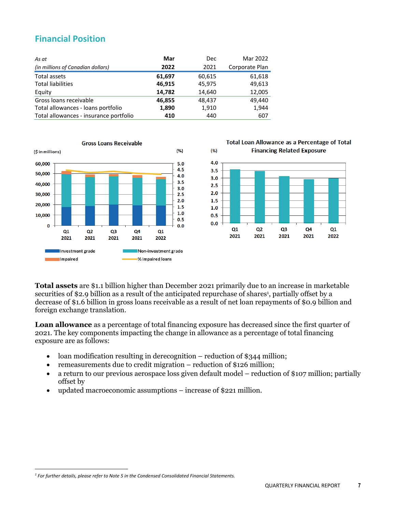## **Financial Position**

| As at                                  | Mar    | Dec    | Mar 2022       |
|----------------------------------------|--------|--------|----------------|
| (in millions of Canadian dollars)      | 2022   | 2021   | Corporate Plan |
| Total assets                           | 61,697 | 60,615 | 61,618         |
| <b>Total liabilities</b>               | 46,915 | 45,975 | 49,613         |
| Equity                                 | 14,782 | 14,640 | 12,005         |
| Gross loans receivable                 | 46,855 | 48.437 | 49.440         |
| Total allowances - loans portfolio     | 1,890  | 1,910  | 1,944          |
| Total allowances - insurance portfolio | 410    | 440    | 607            |





**Total assets** are \$1.1 billion higher than December 2021 primarily due to an increase in marketable securities of \$2.9 billion as a result of the anticipated repurchase of shares<sup>1</sup>, partially offset by a decrease of \$1.6 billion in gross loans receivable as a result of net loan repayments of \$0.9 billion and foreign exchange translation.

**Loan allowance** as a percentage of total financing exposure has decreased since the first quarter of 2021. The key components impacting the change in allowance as a percentage of total financing exposure are as follows:

- loan modification resulting in derecognition reduction of \$344 million;
- remeasurements due to credit migration reduction of \$126 million;
- a return to our previous aerospace loss given default model reduction of \$107 million; partially offset by
- updated macroeconomic assumptions increase of \$221 million.

*<sup>1</sup> For further details, please refer to Note 5 in the Condensed Consolidated Financial Statements.*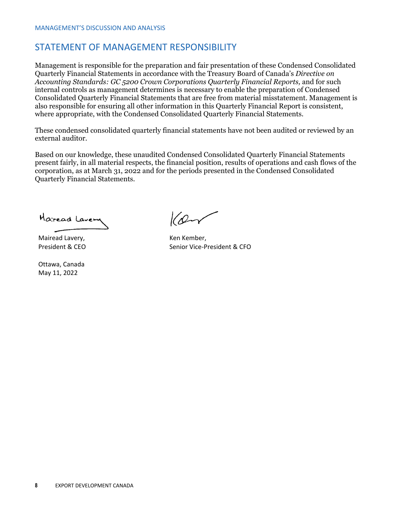## STATEMENT OF MANAGEMENT RESPONSIBILITY

Management is responsible for the preparation and fair presentation of these Condensed Consolidated Quarterly Financial Statements in accordance with the Treasury Board of Canada's *Directive on*  Accounting Standards: GC 5200 Crown Corporations Quarterly Financial Reports, and for such internal controls as management determines is necessary to enable the preparation of Condensed Consolidated Quarterly Financial Statements that are free from material misstatement. Management is also responsible for ensuring all other information in this Quarterly Financial Report is consistent, where appropriate, with the Condensed Consolidated Quarterly Financial Statements.

These condensed consolidated quarterly financial statements have not been audited or reviewed by an external auditor.

Based on our knowledge, these unaudited Condensed Consolidated Quarterly Financial Statements present fairly, in all material respects, the financial position, results of operations and cash flows of the corporation, as at March 31, 2022 and for the periods presented in the Condensed Consolidated Quarterly Financial Statements.

Haread Laven

Mairead Lavery, President & CEO

Ottawa, Canada May 11, 2022

 $10-1$ 

Ken Kember, Senior Vice‐President & CFO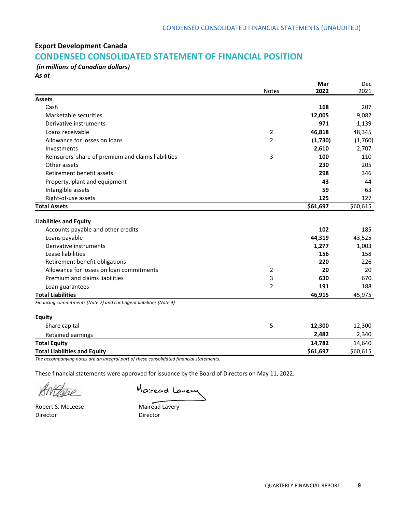#### **Export Development Canada**

## **CONDENSED CONSOLIDATED STATEMENT OF FINANCIAL POSITION**

*(in millions of Canadian dollars) As at*

|                                                                    |                | Mar<br>2022 | <b>Dec</b><br>2021 |
|--------------------------------------------------------------------|----------------|-------------|--------------------|
| <b>Assets</b>                                                      | <b>Notes</b>   |             |                    |
| Cash                                                               |                | 168         | 207                |
| Marketable securities                                              |                | 12,005      | 9,082              |
| Derivative instruments                                             |                | 971         | 1,139              |
| Loans receivable                                                   | $\overline{2}$ | 46,818      | 48,345             |
| Allowance for losses on loans                                      | $\overline{2}$ | (1,730)     | (1,760)            |
| Investments                                                        |                | 2,610       | 2,707              |
| Reinsurers' share of premium and claims liabilities                | 3              | 100         | 110                |
| Other assets                                                       |                | 230         | 205                |
| Retirement benefit assets                                          |                | 298         | 346                |
| Property, plant and equipment                                      |                | 43          | 44                 |
| Intangible assets                                                  |                | 59          | 63                 |
| Right-of-use assets                                                |                | 125         | 127                |
| <b>Total Assets</b>                                                |                | \$61,697    | \$60,615           |
|                                                                    |                |             |                    |
| <b>Liabilities and Equity</b>                                      |                |             |                    |
| Accounts payable and other credits                                 |                | 102         | 185                |
| Loans payable                                                      |                | 44,319      | 43,525             |
| Derivative instruments                                             |                | 1,277       | 1,003              |
| Lease liabilities                                                  |                | 156         | 158                |
| Retirement benefit obligations                                     |                | 220         | 226                |
| Allowance for losses on loan commitments                           | 2              | 20          | 20                 |
| Premium and claims liabilities                                     | 3              | 630         | 670                |
| Loan guarantees                                                    | $\overline{2}$ | 191         | 188                |
| <b>Total Liabilities</b>                                           |                | 46,915      | 45,975             |
| Financing commitments (Note 2) and contingent liabilities (Note 4) |                |             |                    |
| <b>Equity</b>                                                      |                |             |                    |
| Share capital                                                      | 5              | 12,300      | 12,300             |
| Retained earnings                                                  |                | 2,482       | 2,340              |
| <b>Total Equity</b>                                                |                | 14,782      | 14,640             |
| <b>Total Liabilities and Equity</b>                                |                | \$61,697    | \$60,615           |

*The accompanying notes are an integral part of these consolidated financial statements.*

These financial statements were approved for issuance by the Board of Directors on May 11, 2022.

 $\beta$  and  $\alpha$  and  $\beta$  and  $\beta$  and  $\beta$  and  $\beta$  and  $\beta$  and  $\beta$  and  $\beta$  and  $\beta$  and  $\beta$  and  $\beta$  and  $\beta$  and  $\beta$  and  $\beta$  and  $\beta$  and  $\beta$  and  $\beta$  and  $\beta$  and  $\beta$  and  $\beta$  and  $\beta$  and  $\beta$  and  $\beta$  and  $\beta$ 

Director Director

RMEDE Mairead Lavery

Robert S. McLeese Mairead Lavery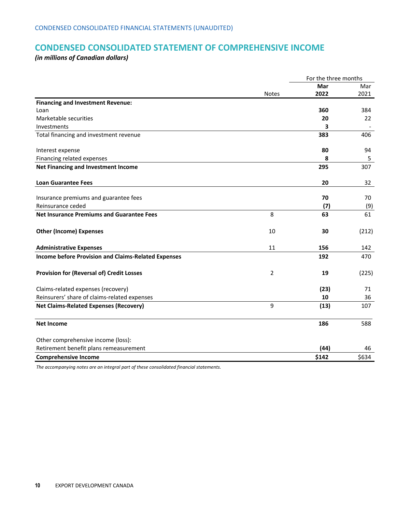## **CONDENSED CONSOLIDATED STATEMENT OF COMPREHENSIVE INCOME**

*(in millions of Canadian dollars)*

|                                                            |                | For the three months |       |
|------------------------------------------------------------|----------------|----------------------|-------|
|                                                            |                | Mar                  | Mar   |
|                                                            | <b>Notes</b>   | 2022                 | 2021  |
| <b>Financing and Investment Revenue:</b>                   |                |                      |       |
| Loan                                                       |                | 360                  | 384   |
| Marketable securities                                      |                | 20                   | 22    |
| Investments                                                |                | 3                    |       |
| Total financing and investment revenue                     |                | 383                  | 406   |
| Interest expense                                           |                | 80                   | 94    |
| Financing related expenses                                 |                | 8                    | 5     |
| Net Financing and Investment Income                        |                | 295                  | 307   |
| <b>Loan Guarantee Fees</b>                                 |                | 20                   | 32    |
| Insurance premiums and guarantee fees                      |                | 70                   | 70    |
| Reinsurance ceded                                          |                | (7)                  | (9)   |
| <b>Net Insurance Premiums and Guarantee Fees</b>           | 8              | 63                   | 61    |
| <b>Other (Income) Expenses</b>                             | 10             | 30                   | (212) |
| <b>Administrative Expenses</b>                             | 11             | 156                  | 142   |
| <b>Income before Provision and Claims-Related Expenses</b> |                | 192                  | 470   |
| <b>Provision for (Reversal of) Credit Losses</b>           | $\overline{2}$ | 19                   | (225) |
| Claims-related expenses (recovery)                         |                | (23)                 | 71    |
| Reinsurers' share of claims-related expenses               |                | 10                   | 36    |
| <b>Net Claims-Related Expenses (Recovery)</b>              | 9              | (13)                 | 107   |
| <b>Net Income</b>                                          |                | 186                  | 588   |
| Other comprehensive income (loss):                         |                |                      |       |
| Retirement benefit plans remeasurement                     |                | (44)                 | 46    |
| <b>Comprehensive Income</b>                                |                | \$142                | \$634 |

*The accompanying notes are an integral part of these consolidated financial statements.*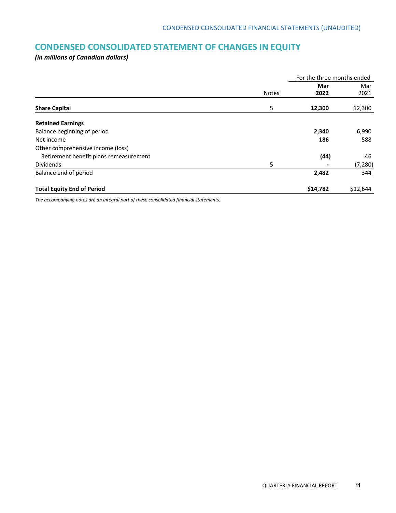## **CONDENSED CONSOLIDATED STATEMENT OF CHANGES IN EQUITY**

*(in millions of Canadian dollars)*

|                                        |              | For the three months ended |          |
|----------------------------------------|--------------|----------------------------|----------|
|                                        |              | Mar                        | Mar      |
|                                        | <b>Notes</b> | 2022                       | 2021     |
| <b>Share Capital</b>                   | 5            | 12,300                     | 12,300   |
| <b>Retained Earnings</b>               |              |                            |          |
| Balance beginning of period            |              | 2,340                      | 6,990    |
| Net income                             |              | 186                        | 588      |
| Other comprehensive income (loss)      |              |                            |          |
| Retirement benefit plans remeasurement |              | (44)                       | 46       |
| Dividends                              | 5            |                            | (7, 280) |
| Balance end of period                  |              | 2,482                      | 344      |
| <b>Total Equity End of Period</b>      |              | \$14,782                   | \$12,644 |

*The accompanying notes are an integral part of these consolidated financial statements.*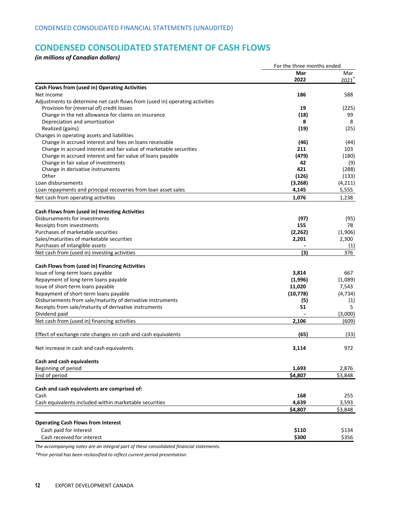## **CONDENSED CONSOLIDATED STATEMENT OF CASH FLOWS**

*(in millions of Canadian dollars)*

|                                                                             | For the three months ended |                  |
|-----------------------------------------------------------------------------|----------------------------|------------------|
|                                                                             | Mar                        | Mar              |
|                                                                             | 2022                       | $2021^*$         |
| Cash Flows from (used in) Operating Activities                              |                            |                  |
| Net income                                                                  | 186                        | 588              |
| Adjustments to determine net cash flows from (used in) operating activities |                            |                  |
| Provision for (reversal of) credit losses                                   | 19                         | (225)            |
| Change in the net allowance for claims on insurance                         | (18)                       | 99               |
| Depreciation and amortization                                               | 8                          | 8                |
| Realized (gains)                                                            | (19)                       | (25)             |
| Changes in operating assets and liabilities                                 |                            |                  |
| Change in accrued interest and fees on loans receivable                     | (46)                       | (44)             |
| Change in accrued interest and fair value of marketable securities          | 211                        | 103              |
| Change in accrued interest and fair value of loans payable                  | (479)                      | (180)            |
| Change in fair value of investments                                         | 42                         | (9)              |
| Change in derivative instruments<br>Other                                   | 421                        | (288)            |
| Loan disbursements                                                          | (126)                      | (133)            |
|                                                                             | (3, 268)                   | (4, 211)         |
| Loan repayments and principal recoveries from loan asset sales              | 4,145                      | 5,555            |
| Net cash from operating activities                                          | 1,076                      | 1,238            |
| Cash Flows from (used in) Investing Activities                              |                            |                  |
| Disbursements for investments                                               | (97)                       | (95)             |
| Receipts from investments                                                   | 155                        | 78               |
| Purchases of marketable securities                                          | (2, 262)                   | (1,906)          |
| Sales/maturities of marketable securities                                   | 2,201                      | 2,300            |
| Purchases of intangible assets                                              |                            | (1)              |
| Net cash from (used in) investing activities                                | (3)                        | 376              |
| Cash Flows from (used in) Financing Activities                              |                            |                  |
| Issue of long-term loans payable                                            | 3,814                      | 667              |
| Repayment of long-term loans payable                                        | (1,996)                    | (1,089)          |
| Issue of short-term loans payable                                           | 11,020                     | 7,543            |
| Repayment of short-term loans payable                                       | (10, 778)                  | (4, 734)         |
| Disbursements from sale/maturity of derivative instruments                  | (5)                        | (1)              |
| Receipts from sale/maturity of derivative instruments                       | 51                         | 5                |
| Dividend paid                                                               |                            | (3,000)          |
| Net cash from (used in) financing activities                                | 2,106                      | (609)            |
|                                                                             |                            |                  |
| Effect of exchange rate changes on cash and cash equivalents                | (65)                       | (33)             |
| Net increase in cash and cash equivalents                                   | 3,114                      | 972              |
| Cash and cash equivalents                                                   |                            |                  |
| Beginning of period                                                         | 1,693                      | 2,876            |
| End of period                                                               | \$4,807                    | \$3,848          |
|                                                                             |                            |                  |
| Cash and cash equivalents are comprised of:<br>Cash                         | 168                        | 255              |
| Cash equivalents included within marketable securities                      | 4,639                      |                  |
|                                                                             | \$4,807                    | 3,593<br>\$3,848 |
|                                                                             |                            |                  |
| <b>Operating Cash Flows from Interest</b>                                   |                            |                  |
| Cash paid for interest                                                      | \$110                      | \$134            |
| Cash received for interest                                                  | \$300                      | \$356            |

*The accompanying notes are an integral part of these consolidated financial statements.* 

*\*Prior period has been reclassified to reflect current period presentation.*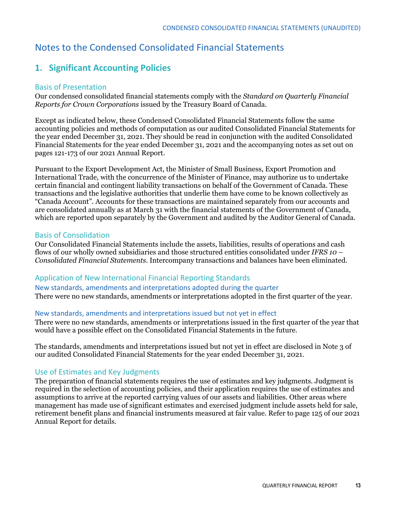## Notes to the Condensed Consolidated Financial Statements

## **1. Significant Accounting Policies**

#### Basis of Presentation

Our condensed consolidated financial statements comply with the *Standard on Quarterly Financial Reports for Crown Corporations* issued by the Treasury Board of Canada.

Except as indicated below, these Condensed Consolidated Financial Statements follow the same accounting policies and methods of computation as our audited Consolidated Financial Statements for the year ended December 31, 2021. They should be read in conjunction with the audited Consolidated Financial Statements for the year ended December 31, 2021 and the accompanying notes as set out on pages 121-173 of our 2021 Annual Report.

Pursuant to the Export Development Act, the Minister of Small Business, Export Promotion and International Trade, with the concurrence of the Minister of Finance, may authorize us to undertake certain financial and contingent liability transactions on behalf of the Government of Canada. These transactions and the legislative authorities that underlie them have come to be known collectively as "Canada Account". Accounts for these transactions are maintained separately from our accounts and are consolidated annually as at March 31 with the financial statements of the Government of Canada, which are reported upon separately by the Government and audited by the Auditor General of Canada.

#### Basis of Consolidation

Our Consolidated Financial Statements include the assets, liabilities, results of operations and cash flows of our wholly owned subsidiaries and those structured entities consolidated under *IFRS 10 – Consolidated Financial Statements*. Intercompany transactions and balances have been eliminated.

#### Application of New International Financial Reporting Standards

New standards, amendments and interpretations adopted during the quarter There were no new standards, amendments or interpretations adopted in the first quarter of the year.

#### New standards, amendments and interpretations issued but not yet in effect

There were no new standards, amendments or interpretations issued in the first quarter of the year that would have a possible effect on the Consolidated Financial Statements in the future.

The standards, amendments and interpretations issued but not yet in effect are disclosed in Note 3 of our audited Consolidated Financial Statements for the year ended December 31, 2021.

#### Use of Estimates and Key Judgments

The preparation of financial statements requires the use of estimates and key judgments. Judgment is required in the selection of accounting policies, and their application requires the use of estimates and assumptions to arrive at the reported carrying values of our assets and liabilities. Other areas where management has made use of significant estimates and exercised judgment include assets held for sale, retirement benefit plans and financial instruments measured at fair value. Refer to page 125 of our 2021 Annual Report for details.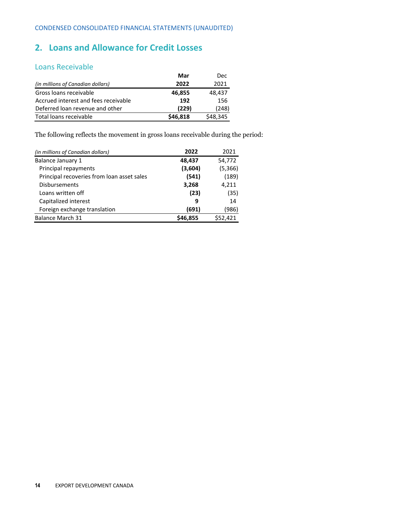## **2. Loans and Allowance for Credit Losses**

#### Loans Receivable

|                                      | Mar      | Dec      |
|--------------------------------------|----------|----------|
| (in millions of Canadian dollars)    | 2022     | 2021     |
| Gross loans receivable               | 46,855   | 48,437   |
| Accrued interest and fees receivable | 192      | 156      |
| Deferred loan revenue and other      | (229)    | (248)    |
| Total loans receivable               | \$46,818 | \$48,345 |

The following reflects the movement in gross loans receivable during the period:

| (in millions of Canadian dollars)          | 2022     | 2021     |
|--------------------------------------------|----------|----------|
| <b>Balance January 1</b>                   | 48,437   | 54,772   |
| Principal repayments                       | (3,604)  | (5, 366) |
| Principal recoveries from loan asset sales | (541)    | (189)    |
| <b>Disbursements</b>                       | 3,268    | 4,211    |
| Loans written off                          | (23)     | (35)     |
| Capitalized interest                       | 9        | 14       |
| Foreign exchange translation               | (691)    | (986)    |
| <b>Balance March 31</b>                    | \$46,855 | \$52,421 |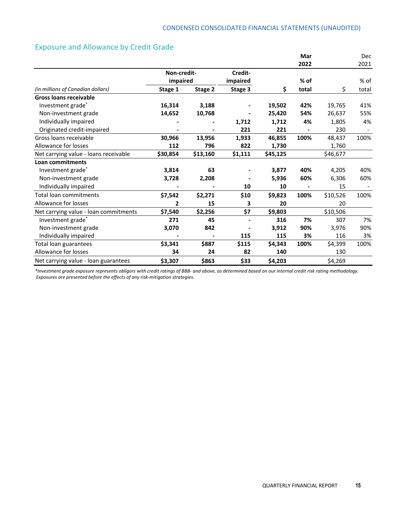#### Exposure and Allowance by Credit Grade

|                                       |             |          |          |          | Mar    |          | Dec    |
|---------------------------------------|-------------|----------|----------|----------|--------|----------|--------|
|                                       |             |          |          |          | 2022   |          | 2021   |
|                                       | Non-credit- |          | Credit-  |          |        |          |        |
|                                       | impaired    |          | impaired |          | $%$ of |          | $%$ of |
| (in millions of Canadian dollars)     | Stage 1     | Stage 2  | Stage 3  | Ś.       | total  | \$       | total  |
| <b>Gross loans receivable</b>         |             |          |          |          |        |          |        |
| Investment grade*                     | 16,314      | 3,188    |          | 19,502   | 42%    | 19,765   | 41%    |
| Non-investment grade                  | 14,652      | 10,768   |          | 25,420   | 54%    | 26,637   | 55%    |
| Individually impaired                 |             |          | 1,712    | 1,712    | 4%     | 1,805    | 4%     |
| Originated credit-impaired            |             |          | 221      | 221      |        | 230      |        |
| Gross loans receivable                | 30,966      | 13,956   | 1,933    | 46,855   | 100%   | 48,437   | 100%   |
| Allowance for losses                  | 112         | 796      | 822      | 1,730    |        | 1,760    |        |
| Net carrying value - loans receivable | \$30,854    | \$13,160 | \$1,111  | \$45,125 |        | \$46,677 |        |
| <b>Loan commitments</b>               |             |          |          |          |        |          |        |
| Investment grade*                     | 3,814       | 63       |          | 3,877    | 40%    | 4,205    | 40%    |
| Non-investment grade                  | 3,728       | 2,208    |          | 5,936    | 60%    | 6,306    | 60%    |
| Individually impaired                 |             |          | 10       | 10       |        | 15       |        |
| Total loan commitments                | \$7,542     | \$2,271  | \$10     | \$9,823  | 100%   | \$10,526 | 100%   |
| <b>Allowance for losses</b>           | 2           | 15       | 3        | 20       |        | 20       |        |
| Net carrying value - loan commitments | \$7,540     | \$2,256  | \$7      | \$9,803  |        | \$10,506 |        |
| Investment grade*                     | 271         | 45       |          | 316      | 7%     | 307      | 7%     |
| Non-investment grade                  | 3,070       | 842      |          | 3,912    | 90%    | 3,976    | 90%    |
| Individually impaired                 |             |          | 115      | 115      | 3%     | 116      | 3%     |
| Total loan guarantees                 | \$3,341     | \$887    | \$115    | \$4,343  | 100%   | \$4,399  | 100%   |
| Allowance for losses                  | 34          | 24       | 82       | 140      |        | 130      |        |
| Net carrying value - loan guarantees  | \$3,307     | \$863    | \$33     | \$4,203  |        | \$4,269  |        |

\*Investment grade exposure represents obligors with credit ratings of BBB- and above, as determined based on our internal credit risk rating methodology. *Exposures are presented before the effects of any risk‐mitigation strategies.*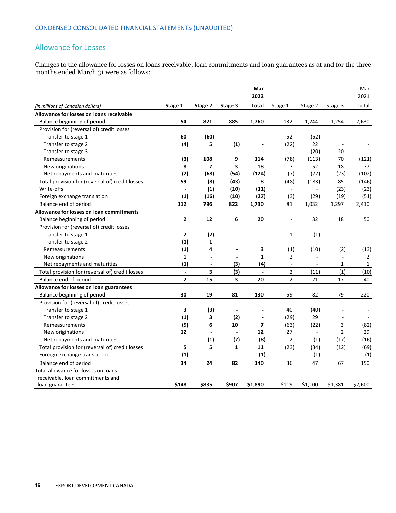#### Allowance for Losses

Changes to the allowance for losses on loans receivable, loan commitments and loan guarantees as at and for the three months ended March 31 were as follows:

|                                                                         |                              |                          |                          | Mar<br>2022              |                          |                |                          | Mar<br>2021    |
|-------------------------------------------------------------------------|------------------------------|--------------------------|--------------------------|--------------------------|--------------------------|----------------|--------------------------|----------------|
| (in millions of Canadian dollars)                                       | Stage 1                      | Stage 2                  | Stage 3                  | Total                    | Stage 1                  | Stage 2        | Stage 3                  | Total          |
| Allowance for losses on loans receivable                                |                              |                          |                          |                          |                          |                |                          |                |
| Balance beginning of period                                             | 54                           | 821                      | 885                      | 1,760                    | 132                      | 1,244          | 1,254                    | 2,630          |
| Provision for (reversal of) credit losses                               |                              |                          |                          |                          |                          |                |                          |                |
| Transfer to stage 1                                                     | 60                           | (60)                     |                          |                          | 52                       | (52)           |                          |                |
| Transfer to stage 2                                                     | (4)                          | 5                        | (1)                      |                          | (22)                     | 22             |                          |                |
| Transfer to stage 3                                                     | $\blacksquare$               | $\overline{a}$           | $\overline{\phantom{a}}$ | $\blacksquare$           | $\blacksquare$           | (20)           | 20                       |                |
| Remeasurements                                                          | (3)                          | 108                      | 9                        | 114                      | (78)                     | (113)          | 70                       | (121)          |
| New originations                                                        | 8                            | $\overline{ }$           | 3                        | 18                       | $\overline{7}$           | 52             | 18                       | 77             |
| Net repayments and maturities                                           | (2)                          | (68)                     | (54)                     | (124)                    | (7)                      | (72)           | (23)                     | (102)          |
| Total provision for (reversal of) credit losses                         | 59                           | (8)                      | (43)                     | 8                        | (48)                     | (183)          | 85                       | (146)          |
| Write-offs                                                              | $\qquad \qquad \blacksquare$ | (1)                      | (10)                     | (11)                     | $\overline{\phantom{a}}$ | $\blacksquare$ | (23)                     | (23)           |
| Foreign exchange translation                                            | (1)                          | (16)                     | (10)                     | (27)                     | (3)                      | (29)           | (19)                     | (51)           |
| Balance end of period                                                   | 112                          | 796                      | 822                      | 1,730                    | 81                       | 1,032          | 1,297                    | 2,410          |
| Allowance for losses on loan commitments                                |                              |                          |                          |                          |                          |                |                          |                |
| Balance beginning of period                                             | 2                            | 12                       | 6                        | 20                       | $\overline{\phantom{a}}$ | 32             | 18                       | 50             |
| Provision for (reversal of) credit losses                               |                              |                          |                          |                          |                          |                |                          |                |
| Transfer to stage 1                                                     | 2                            | (2)                      |                          |                          | 1                        | (1)            |                          |                |
| Transfer to stage 2                                                     | (1)                          | $\mathbf{1}$             |                          |                          |                          |                |                          |                |
| Remeasurements                                                          | (1)                          | 4                        |                          | 3                        | (1)                      | (10)           | (2)                      | (13)           |
| New originations                                                        | 1                            | $\blacksquare$           | $\overline{\phantom{a}}$ | $\mathbf{1}$             | $\overline{2}$           | $\sim$         | $\overline{\phantom{a}}$ | $\overline{2}$ |
| Net repayments and maturities                                           | (1)                          | $\overline{\phantom{a}}$ | (3)                      | (4)                      | $\blacksquare$           |                | 1                        | 1              |
| Total provision for (reversal of) credit losses                         | $\overline{a}$               | 3                        | (3)                      | $\overline{a}$           | $\overline{2}$           | (11)           | (1)                      | (10)           |
| Balance end of period                                                   | $\overline{2}$               | 15                       | 3                        | 20                       | $\overline{2}$           | 21             | 17                       | 40             |
| Allowance for losses on loan guarantees                                 |                              |                          |                          |                          |                          |                |                          |                |
| Balance beginning of period                                             | 30                           | 19                       | 81                       | 130                      | 59                       | 82             | 79                       | 220            |
| Provision for (reversal of) credit losses                               |                              |                          |                          |                          |                          |                |                          |                |
| Transfer to stage 1                                                     | 3                            | (3)                      | $\blacksquare$           |                          | 40                       | (40)           |                          |                |
| Transfer to stage 2                                                     | (1)                          | 3                        | (2)                      | $\overline{a}$           | (29)                     | 29             |                          |                |
| Remeasurements                                                          | (9)                          | 6                        | 10                       | $\overline{\phantom{a}}$ | (63)                     | (22)           | 3                        | (82)           |
| New originations                                                        | 12                           | $\blacksquare$           | $\overline{\phantom{a}}$ | 12                       | 27                       | $\sim$         | $\overline{2}$           | 29             |
| Net repayments and maturities                                           | $\blacksquare$               | (1)                      | (7)                      | (8)                      | 2                        | (1)            | (17)                     | (16)           |
| Total provision for (reversal of) credit losses                         | 5                            | 5                        | $\mathbf{1}$             | 11                       | (23)                     | (34)           | (12)                     | (69)           |
| Foreign exchange translation                                            | (1)                          | $\overline{a}$           | ÷,                       | (1)                      | $\blacksquare$           | (1)            | $\overline{\phantom{a}}$ | (1)            |
| Balance end of period                                                   | 34                           | 24                       | 82                       | 140                      | 36                       | 47             | 67                       | 150            |
| Total allowance for losses on loans<br>receivable, loan commitments and |                              |                          |                          |                          |                          |                |                          |                |
| loan guarantees                                                         | \$148                        | \$835                    | \$907                    | \$1,890                  | \$119                    | \$1,100        | \$1,381                  | \$2,600        |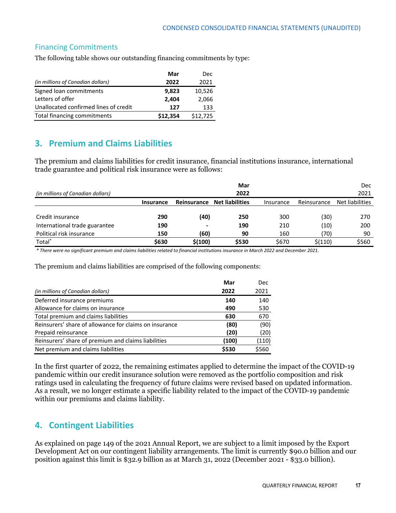#### Financing Commitments

The following table shows our outstanding financing commitments by type:

|                                       | Mar      | Dec      |
|---------------------------------------|----------|----------|
| (in millions of Canadian dollars)     | 2022     | 2021     |
| Signed loan commitments               | 9,823    | 10,526   |
| Letters of offer                      | 2,404    | 2,066    |
| Unallocated confirmed lines of credit | 127      | 133      |
| Total financing commitments           | \$12,354 | \$12,725 |

## **3. Premium and Claims Liabilities**

The premium and claims liabilities for credit insurance, financial institutions insurance, international trade guarantee and political risk insurance were as follows:

| (in millions of Canadian dollars) |           |             | Mar<br>2022            |           |             | <b>Dec</b><br>2021 |
|-----------------------------------|-----------|-------------|------------------------|-----------|-------------|--------------------|
|                                   | Insurance | Reinsurance | <b>Net liabilities</b> | Insurance | Reinsurance | Net liabilities    |
| Credit insurance                  | 290       | (40)        | 250                    | 300       | (30)        | 270                |
| International trade guarantee     | 190       |             | 190                    | 210       | (10)        | 200                |
| Political risk insurance          | 150       | (60)        | 90                     | 160       | (70)        | 90                 |
| Total <sup>*</sup>                | \$630     | \$(100)     | \$530                  | \$670     | \$(110)     | \$560              |

\* There were no significant premium and claims liabilities related to financial institutions insurance in March 2022 and December 2021.

The premium and claims liabilities are comprised of the following components:

|                                                        | Mar   | <b>Dec</b> |
|--------------------------------------------------------|-------|------------|
| (in millions of Canadian dollars)                      | 2022  | 2021       |
| Deferred insurance premiums                            | 140   | 140        |
| Allowance for claims on insurance                      | 490   | 530        |
| Total premium and claims liabilities                   | 630   | 670        |
| Reinsurers' share of allowance for claims on insurance | (80)  | (90)       |
| Prepaid reinsurance                                    | (20)  | (20)       |
| Reinsurers' share of premium and claims liabilities    | (100) | (110)      |
| Net premium and claims liabilities                     | \$530 | \$560      |

In the first quarter of 2022, the remaining estimates applied to determine the impact of the COVID-19 pandemic within our credit insurance solution were removed as the portfolio composition and risk ratings used in calculating the frequency of future claims were revised based on updated information. As a result, we no longer estimate a specific liability related to the impact of the COVID-19 pandemic within our premiums and claims liability.

## **4. Contingent Liabilities**

As explained on page 149 of the 2021 Annual Report, we are subject to a limit imposed by the Export Development Act on our contingent liability arrangements. The limit is currently \$90.0 billion and our position against this limit is \$32.9 billion as at March 31, 2022 (December 2021 - \$33.0 billion).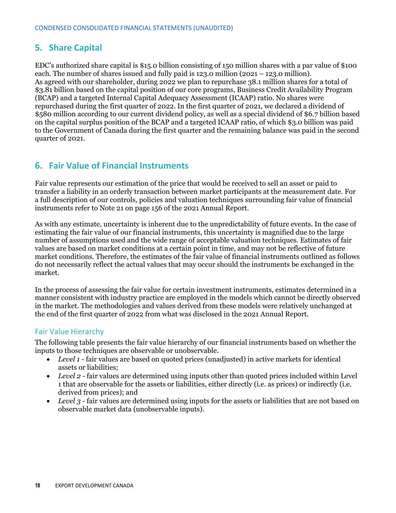## **5. Share Capital**

EDC's authorized share capital is \$15.0 billion consisting of 150 million shares with a par value of \$100 each. The number of shares issued and fully paid is 123.0 million (2021 – 123.0 million). As agreed with our shareholder, during 2022 we plan to repurchase 38.1 million shares for a total of \$3.81 billion based on the capital position of our core programs, Business Credit Availability Program (BCAP) and a targeted Internal Capital Adequacy Assessment (ICAAP) ratio. No shares were repurchased during the first quarter of 2022. In the first quarter of 2021, we declared a dividend of \$580 million according to our current dividend policy, as well as a special dividend of \$6.7 billion based on the capital surplus position of the BCAP and a targeted ICAAP ratio, of which \$3.0 billion was paid to the Government of Canada during the first quarter and the remaining balance was paid in the second quarter of 2021.

## **6. Fair Value of Financial Instruments**

Fair value represents our estimation of the price that would be received to sell an asset or paid to transfer a liability in an orderly transaction between market participants at the measurement date. For a full description of our controls, policies and valuation techniques surrounding fair value of financial instruments refer to Note 21 on page 156 of the 2021 Annual Report.

As with any estimate, uncertainty is inherent due to the unpredictability of future events. In the case of estimating the fair value of our financial instruments, this uncertainty is magnified due to the large number of assumptions used and the wide range of acceptable valuation techniques. Estimates of fair values are based on market conditions at a certain point in time, and may not be reflective of future market conditions. Therefore, the estimates of the fair value of financial instruments outlined as follows do not necessarily reflect the actual values that may occur should the instruments be exchanged in the market.

In the process of assessing the fair value for certain investment instruments, estimates determined in a manner consistent with industry practice are employed in the models which cannot be directly observed in the market. The methodologies and values derived from these models were relatively unchanged at the end of the first quarter of 2022 from what was disclosed in the 2021 Annual Report.

#### Fair Value Hierarchy

The following table presents the fair value hierarchy of our financial instruments based on whether the inputs to those techniques are observable or unobservable.

- Level 1 fair values are based on quoted prices (unadjusted) in active markets for identical assets or liabilities;
- *Level 2 -* fair values are determined using inputs other than quoted prices included within Level 1 that are observable for the assets or liabilities, either directly (i.e. as prices) or indirectly (i.e. derived from prices); and
- Level 3 fair values are determined using inputs for the assets or liabilities that are not based on observable market data (unobservable inputs).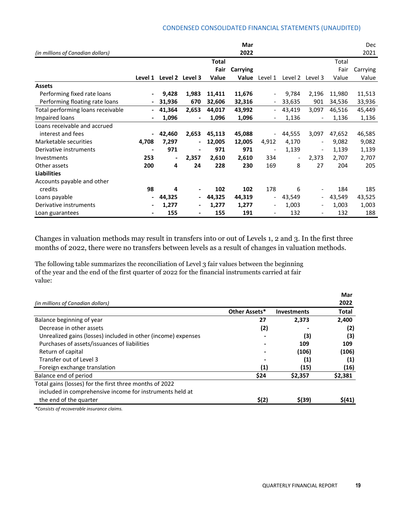#### CONDENSED CONSOLIDATED FINANCIAL STATEMENTS (UNAUDITED)

|                                   |         |                |                          |              | Mar          |                          |                |                          |        | Dec      |
|-----------------------------------|---------|----------------|--------------------------|--------------|--------------|--------------------------|----------------|--------------------------|--------|----------|
| (in millions of Canadian dollars) |         |                |                          |              | 2022         |                          |                |                          |        | 2021     |
|                                   |         |                |                          | <b>Total</b> |              |                          |                |                          | Total  |          |
|                                   |         |                |                          | Fair         | Carrying     |                          |                |                          | Fair   | Carrying |
|                                   | Level 1 |                | Level 2 Level 3          | Value        | <b>Value</b> | Level 1                  | Level 2        | Level 3                  | Value  | Value    |
| <b>Assets</b>                     |         |                |                          |              |              |                          |                |                          |        |          |
| Performing fixed rate loans       |         | 9,428          | 1,983                    | 11,411       | 11,676       | $\overline{\phantom{a}}$ | 9,784          | 2,196                    | 11,980 | 11,513   |
| Performing floating rate loans    |         | 31,936         | 670                      | 32,606       | 32,316       | $\overline{\phantom{a}}$ | 33,635         | 901                      | 34,536 | 33,936   |
| Total performing loans receivable |         | 41,364         | 2,653                    | 44,017       | 43,992       | $\overline{\phantom{a}}$ | 43,419         | 3,097                    | 46,516 | 45,449   |
| Impaired loans                    |         | 1,096          | $\blacksquare$           | 1,096        | 1,096        | $\overline{\phantom{a}}$ | 1,136          | $\overline{\phantom{a}}$ | 1,136  | 1,136    |
| Loans receivable and accrued      |         |                |                          |              |              |                          |                |                          |        |          |
| interest and fees                 |         | 42,460         | 2,653                    | 45,113       | 45,088       | $\overline{\phantom{a}}$ | 44,555         | 3,097                    | 47,652 | 46,585   |
| Marketable securities             | 4,708   | 7,297          | $\blacksquare$           | 12,005       | 12,005       | 4,912                    | 4,170          | $\overline{\phantom{a}}$ | 9,082  | 9,082    |
| Derivative instruments            |         | 971            | $\overline{\phantom{0}}$ | 971          | 971          | $\overline{\phantom{a}}$ | 1,139          | $\overline{\phantom{a}}$ | 1,139  | 1,139    |
| Investments                       | 253     | $\blacksquare$ | 2,357                    | 2,610        | 2,610        | 334                      | $\blacksquare$ | 2,373                    | 2,707  | 2,707    |
| Other assets                      | 200     | 4              | 24                       | 228          | 230          | 169                      | 8              | 27                       | 204    | 205      |
| <b>Liabilities</b>                |         |                |                          |              |              |                          |                |                          |        |          |
| Accounts payable and other        |         |                |                          |              |              |                          |                |                          |        |          |
| credits                           | 98      | 4              |                          | 102          | 102          | 178                      | 6              | $\overline{\phantom{a}}$ | 184    | 185      |
| Loans payable                     |         | 44,325         | $\overline{\phantom{0}}$ | 44,325       | 44,319       | $\overline{\phantom{a}}$ | 43,549         | $\sim$                   | 43,549 | 43,525   |
| Derivative instruments            |         | 1,277          | ۰                        | 1,277        | 1,277        | $\overline{\phantom{a}}$ | 1,003          | $\overline{\phantom{a}}$ | 1,003  | 1,003    |
| Loan guarantees                   |         | 155            | -                        | 155          | 191          | $\overline{\phantom{a}}$ | 132            | $\overline{\phantom{a}}$ | 132    | 188      |

Changes in valuation methods may result in transfers into or out of Levels 1, 2 and 3. In the first three months of 2022, there were no transfers between levels as a result of changes in valuation methods.

The following table summarizes the reconciliation of Level 3 fair values between the beginning of the year and the end of the first quarter of 2022 for the financial instruments carried at fair value:

|                                                               |               |                    | Mar          |
|---------------------------------------------------------------|---------------|--------------------|--------------|
| (in millions of Canadian dollars)                             |               |                    | 2022         |
|                                                               | Other Assets* | <b>Investments</b> | <b>Total</b> |
| Balance beginning of year                                     | 27            | 2,373              | 2,400        |
| Decrease in other assets                                      | (2)           |                    | (2)          |
| Unrealized gains (losses) included in other (income) expenses |               | (3)                | (3)          |
| Purchases of assets/issuances of liabilities                  |               | 109                | 109          |
| Return of capital                                             |               | (106)              | (106)        |
| Transfer out of Level 3                                       |               | (1)                | (1)          |
| Foreign exchange translation                                  | (1)           | (15)               | (16)         |
| Balance end of period                                         | \$24          | \$2,357            | \$2,381      |
| Total gains (losses) for the first three months of 2022       |               |                    |              |
| included in comprehensive income for instruments held at      |               |                    |              |
| the end of the quarter                                        | \$(2)         | $$$ (39)           | \$(41)       |

*\*Consists of recoverable insurance claims.*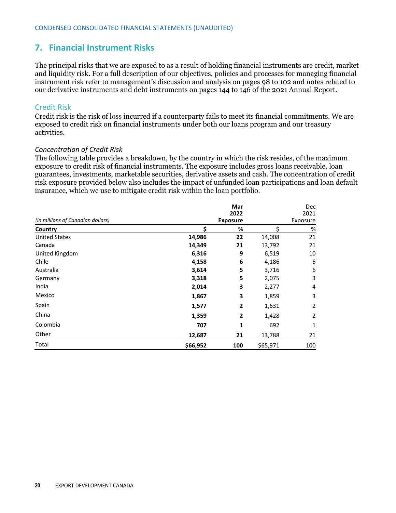## **7. Financial Instrument Risks**

The principal risks that we are exposed to as a result of holding financial instruments are credit, market and liquidity risk. For a full description of our objectives, policies and processes for managing financial instrument risk refer to management's discussion and analysis on pages 98 to 102 and notes related to our derivative instruments and debt instruments on pages 144 to 146 of the 2021 Annual Report.

#### Credit Risk

Credit risk is the risk of loss incurred if a counterparty fails to meet its financial commitments. We are exposed to credit risk on financial instruments under both our loans program and our treasury activities.

#### *Concentration of Credit Risk*

The following table provides a breakdown, by the country in which the risk resides, of the maximum exposure to credit risk of financial instruments. The exposure includes gross loans receivable, loan guarantees, investments, marketable securities, derivative assets and cash. The concentration of credit risk exposure provided below also includes the impact of unfunded loan participations and loan default insurance, which we use to mitigate credit risk within the loan portfolio.

|                                   |                         | Mar            |          | Dec              |  |
|-----------------------------------|-------------------------|----------------|----------|------------------|--|
| (in millions of Canadian dollars) | 2022<br><b>Exposure</b> |                |          | 2021<br>Exposure |  |
| Country                           | Ś                       | %              | Ś        | $\%$             |  |
| <b>United States</b>              | 14,986                  | 22             | 14,008   | 21               |  |
| Canada                            | 14,349                  | 21             | 13,792   | 21               |  |
| United Kingdom                    | 6,316                   | 9              | 6,519    | 10               |  |
| Chile                             | 4,158                   | 6              | 4,186    | 6                |  |
| Australia                         | 3,614                   | 5              | 3,716    | 6                |  |
| Germany                           | 3,318                   | 5              | 2,075    | 3                |  |
| India                             | 2,014                   | 3              | 2,277    | 4                |  |
| Mexico                            | 1,867                   | 3              | 1,859    | 3                |  |
| Spain                             | 1,577                   | $\overline{2}$ | 1,631    | 2                |  |
| China                             | 1,359                   | $\overline{2}$ | 1,428    | 2                |  |
| Colombia                          | 707                     | 1              | 692      | 1                |  |
| Other                             | 12,687                  | 21             | 13,788   | 21               |  |
| Total                             | \$66,952                | 100            | \$65,971 | 100              |  |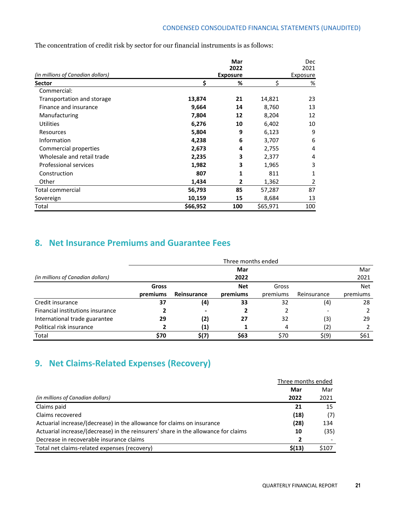The concentration of credit risk by sector for our financial instruments is as follows:

|                                   |          | Mar             |          | Dec      |
|-----------------------------------|----------|-----------------|----------|----------|
|                                   |          | 2022            |          | 2021     |
| (in millions of Canadian dollars) |          | <b>Exposure</b> |          | Exposure |
| Sector                            | \$       | %               | \$       | %        |
| Commercial:                       |          |                 |          |          |
| Transportation and storage        | 13,874   | 21              | 14,821   | 23       |
| Finance and insurance             | 9,664    | 14              | 8,760    | 13       |
| Manufacturing                     | 7,804    | 12              | 8,204    | 12       |
| <b>Utilities</b>                  | 6,276    | 10              | 6,402    | 10       |
| Resources                         | 5,804    | 9               | 6,123    | 9        |
| Information                       | 4,238    | 6               | 3,707    | 6        |
| Commercial properties             | 2,673    | 4               | 2,755    | 4        |
| Wholesale and retail trade        | 2,235    | 3               | 2,377    | 4        |
| Professional services             | 1,982    | 3               | 1,965    | 3        |
| Construction                      | 807      | 1               | 811      | 1        |
| Other                             | 1,434    | 2               | 1,362    | 2        |
| Total commercial                  | 56,793   | 85              | 57,287   | 87       |
| Sovereign                         | 10,159   | 15              | 8,684    | 13       |
| Total                             | \$66,952 | 100             | \$65,971 | 100      |

## **8. Net Insurance Premiums and Guarantee Fees**

|                                   | Three months ended |             |            |          |             |            |  |  |
|-----------------------------------|--------------------|-------------|------------|----------|-------------|------------|--|--|
|                                   |                    |             | Mar        |          |             | Mar        |  |  |
| (in millions of Canadian dollars) |                    |             | 2022       |          |             | 2021       |  |  |
|                                   | <b>Gross</b>       |             | <b>Net</b> | Gross    |             | <b>Net</b> |  |  |
|                                   | premiums           | Reinsurance | premiums   | premiums | Reinsurance | premiums   |  |  |
| Credit insurance                  | 37                 | (4)         | 33         | 32       | (4)         | 28         |  |  |
| Financial institutions insurance  |                    |             |            |          |             |            |  |  |
| International trade guarantee     | 29                 | (2)         | 27         | 32       | (3)         | 29         |  |  |
| Political risk insurance          |                    | (1)         |            | 4        | (2)         |            |  |  |
| Total                             | \$70               | 5(7)        | \$63       | \$70     | \$(9)       | \$61       |  |  |

## **9. Net Claims‐Related Expenses (Recovery)**

|                                                                                    | Three months ended |       |
|------------------------------------------------------------------------------------|--------------------|-------|
|                                                                                    | Mar                | Mar   |
| (in millions of Canadian dollars)                                                  | 2022               | 2021  |
| Claims paid                                                                        | 21                 | 15    |
| Claims recovered                                                                   | (18)               | (7)   |
| Actuarial increase/(decrease) in the allowance for claims on insurance             | (28)               | 134   |
| Actuarial increase/(decrease) in the reinsurers' share in the allowance for claims | 10                 | (35)  |
| Decrease in recoverable insurance claims                                           | $\overline{2}$     |       |
| Total net claims-related expenses (recovery)                                       | \$(13)             | \$107 |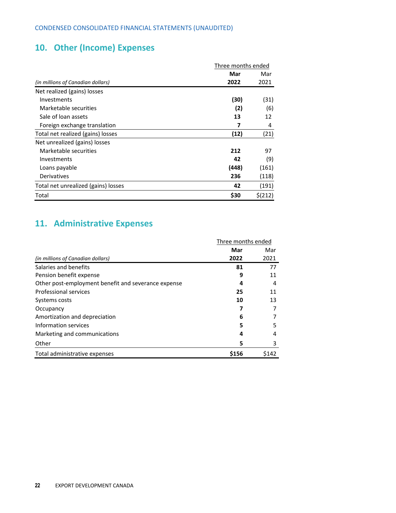## **10. Other (Income) Expenses**

|                                     | Three months ended |         |  |
|-------------------------------------|--------------------|---------|--|
|                                     | Mar                | Mar     |  |
| (in millions of Canadian dollars)   | 2022               | 2021    |  |
| Net realized (gains) losses         |                    |         |  |
| Investments                         | (30)               | (31)    |  |
| Marketable securities               | (2)                | (6)     |  |
| Sale of loan assets                 | 13                 | 12      |  |
| Foreign exchange translation        | 7                  | 4       |  |
| Total net realized (gains) losses   | (12)               | (21)    |  |
| Net unrealized (gains) losses       |                    |         |  |
| Marketable securities               | 212                | 97      |  |
| Investments                         | 42                 | (9)     |  |
| Loans payable                       | (448)              | (161)   |  |
| Derivatives                         | 236                | (118)   |  |
| Total net unrealized (gains) losses | 42                 | (191)   |  |
| Total                               | \$30               | \$(212) |  |

## **11. Administrative Expenses**

|                                                     | Three months ended |       |
|-----------------------------------------------------|--------------------|-------|
|                                                     | Mar                | Mar   |
| (in millions of Canadian dollars)                   | 2022               | 2021  |
| Salaries and benefits                               | 81                 | 77    |
| Pension benefit expense                             | 9                  | 11    |
| Other post-employment benefit and severance expense | 4                  | 4     |
| Professional services                               | 25                 | 11    |
| Systems costs                                       | 10                 | 13    |
| Occupancy                                           |                    |       |
| Amortization and depreciation                       | 6                  |       |
| Information services                                | 5                  | 5     |
| Marketing and communications                        | 4                  | 4     |
| Other                                               | 5                  | 3     |
| Total administrative expenses                       | \$156              | \$142 |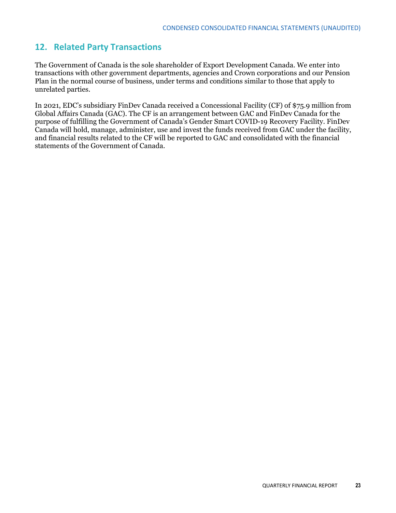#### **12. Related Party Transactions**

The Government of Canada is the sole shareholder of Export Development Canada. We enter into transactions with other government departments, agencies and Crown corporations and our Pension Plan in the normal course of business, under terms and conditions similar to those that apply to unrelated parties.

In 2021, EDC's subsidiary FinDev Canada received a Concessional Facility (CF) of \$75.9 million from Global Affairs Canada (GAC). The CF is an arrangement between GAC and FinDev Canada for the purpose of fulfilling the Government of Canada's Gender Smart COVID-19 Recovery Facility. FinDev Canada will hold, manage, administer, use and invest the funds received from GAC under the facility, and financial results related to the CF will be reported to GAC and consolidated with the financial statements of the Government of Canada.